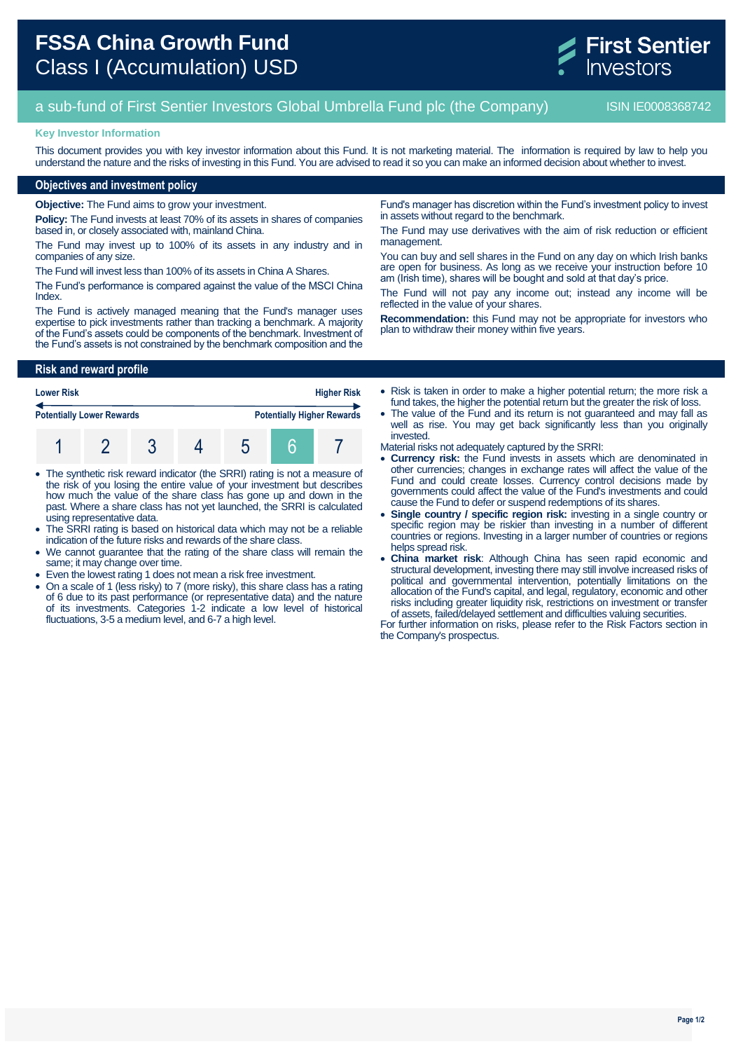

# a sub-fund of First Sentier Investors Global Umbrella Fund plc (the Company) ISIN IE0008368742

#### **Key Investor Information**

This document provides you with key investor information about this Fund. It is not marketing material. The information is required by law to help you understand the nature and the risks of investing in this Fund. You are advised to read it so you can make an informed decision about whether to invest.

## **Objectives and investment policy**

**Objective:** The Fund aims to grow your investment.

**Policy:** The Fund invests at least 70% of its assets in shares of companies based in, or closely associated with, mainland China.

The Fund may invest up to 100% of its assets in any industry and in companies of any size.

The Fund will invest less than 100% of its assets in China A Shares.

The Fund's performance is compared against the value of the MSCI China Index.

The Fund is actively managed meaning that the Fund's manager uses expertise to pick investments rather than tracking a benchmark. A majority of the Fund's assets could be components of the benchmark. Investment of the Fund's assets is not constrained by the benchmark composition and the

**Risk and reward profile**

| <b>Higher Risk</b><br><b>Lower Risk</b> |  |  |  |                                   |  |  |  |
|-----------------------------------------|--|--|--|-----------------------------------|--|--|--|
| <b>Potentially Lower Rewards</b>        |  |  |  | <b>Potentially Higher Rewards</b> |  |  |  |
|                                         |  |  |  |                                   |  |  |  |

- The synthetic risk reward indicator (the SRRI) rating is not a measure of the risk of you losing the entire value of your investment but describes how much the value of the share class has gone up and down in the past. Where a share class has not yet launched, the SRRI is calculated using representative data.
- The SRRI rating is based on historical data which may not be a reliable indication of the future risks and rewards of the share class.
- We cannot guarantee that the rating of the share class will remain the same; it may change over time.
- Even the lowest rating 1 does not mean a risk free investment.
- On a scale of 1 (less risky) to 7 (more risky), this share class has a rating of 6 due to its past performance (or representative data) and the nature of its investments. Categories 1-2 indicate a low level of historical fluctuations, 3-5 a medium level, and 6-7 a high level.

Fund's manager has discretion within the Fund's investment policy to invest in assets without regard to the benchmark.

The Fund may use derivatives with the aim of risk reduction or efficient management.

You can buy and sell shares in the Fund on any day on which Irish banks are open for business. As long as we receive your instruction before 10 am (Irish time), shares will be bought and sold at that day's price.

The Fund will not pay any income out; instead any income will be reflected in the value of your shares.

**Recommendation:** this Fund may not be appropriate for investors who plan to withdraw their money within five years.

 Risk is taken in order to make a higher potential return; the more risk a fund takes, the higher the potential return but the greater the risk of loss.

• The value of the Fund and its return is not quaranteed and may fall as well as rise. You may get back significantly less than you originally invested.

Material risks not adequately captured by the SRRI:

- **Currency risk:** the Fund invests in assets which are denominated in other currencies; changes in exchange rates will affect the value of the Fund and could create losses. Currency control decisions made by governments could affect the value of the Fund's investments and could cause the Fund to defer or suspend redemptions of its shares.
- **Single country / specific region risk:** investing in a single country or specific region may be riskier than investing in a number of different countries or regions. Investing in a larger number of countries or regions helps spread risk.
- **China market risk**: Although China has seen rapid economic and structural development, investing there may still involve increased risks of political and governmental intervention, potentially limitations on the allocation of the Fund's capital, and legal, regulatory, economic and other risks including greater liquidity risk, restrictions on investment or transfer of assets, failed/delayed settlement and difficulties valuing securities.

For further information on risks, please refer to the Risk Factors section in the Company's prospectus.